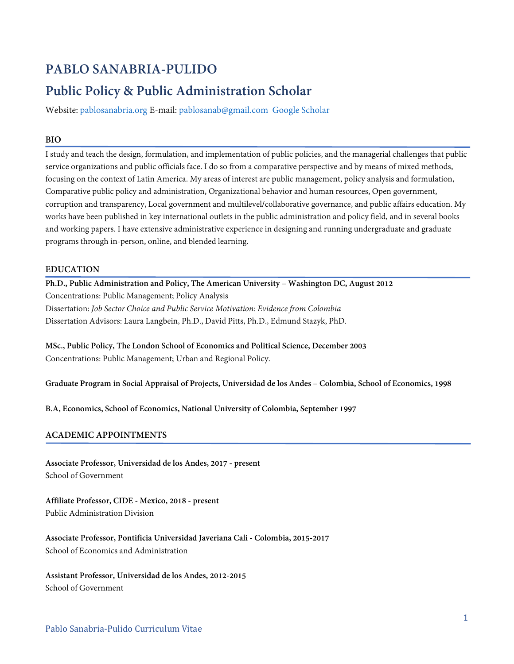# **PABLO SANABRIA-PULIDO**

# **Public Policy & Public Administration Scholar**

Website: [pablosanabria.org](https://pablosanabria.org/) E-mail: [pablosanab@gmail.com](mailto:pablosanab@gmail.com) [Google Scholar](https://scholar.google.com/citations?user=muGMl0QAAAAJ&hl=en)

## **BIO**

I study and teach the design, formulation, and implementation of public policies, and the managerial challenges that public service organizations and public officials face. I do so from a comparative perspective and by means of mixed methods, focusing on the context of Latin America. My areas of interest are public management, policy analysis and formulation, Comparative public policy and administration, Organizational behavior and human resources, Open government, corruption and transparency, Local government and multilevel/collaborative governance, and public affairs education. My works have been published in key international outlets in the public administration and policy field, and in several books and working papers. I have extensive administrative experience in designing and running undergraduate and graduate programs through in-person, online, and blended learning.

## **EDUCATION**

**Ph.D., Public Administration and Policy, The American University – Washington DC, August 2012** Concentrations: Public Management; Policy Analysis Dissertation: *Job Sector Choice and Public Service Motivation: Evidence from Colombia* Dissertation Advisors: Laura Langbein, Ph.D., David Pitts, Ph.D., Edmund Stazyk, PhD.

**MSc., Public Policy, The London School of Economics and Political Science, December 2003** Concentrations: Public Management; Urban and Regional Policy.

**Graduate Program in Social Appraisal of Projects, Universidad de los Andes – Colombia, School of Economics, 1998**

**B.A, Economics, School of Economics, National University of Colombia, September 1997**

## **ACADEMIC APPOINTMENTS**

**Associate Professor, Universidad de los Andes, 2017 - present** School of Government

**Affiliate Professor, CIDE - Mexico, 2018 - present** Public Administration Division

**Associate Professor, Pontificia Universidad Javeriana Cali - Colombia, 2015-2017** School of Economics and Administration

**Assistant Professor, Universidad de los Andes, 2012-2015** School of Government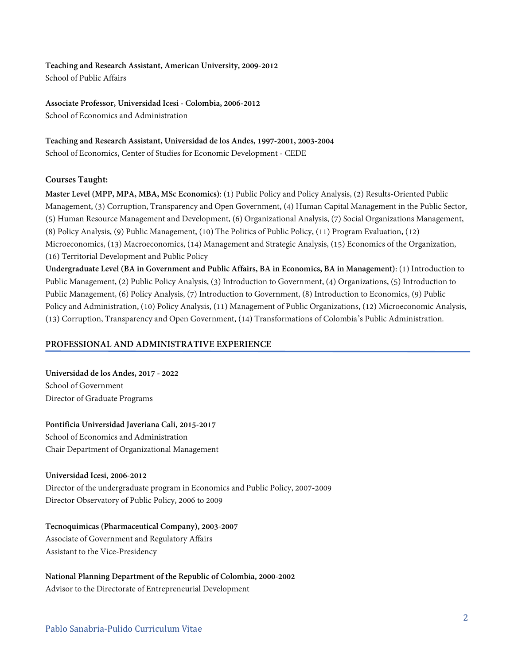**Teaching and Research Assistant, American University, 2009-2012** School of Public Affairs

**Associate Professor, Universidad Icesi - Colombia, 2006-2012** School of Economics and Administration

**Teaching and Research Assistant, Universidad de los Andes, 1997-2001, 2003-2004** School of Economics, Center of Studies for Economic Development - CEDE

## **Courses Taught:**

**Master Level (MPP, MPA, MBA, MSc Economics)**: (1) Public Policy and Policy Analysis, (2) Results-Oriented Public Management, (3) Corruption, Transparency and Open Government, (4) Human Capital Management in the Public Sector, (5) Human Resource Management and Development, (6) Organizational Analysis, (7) Social Organizations Management, (8) Policy Analysis, (9) Public Management, (10) The Politics of Public Policy, (11) Program Evaluation, (12) Microeconomics, (13) Macroeconomics, (14) Management and Strategic Analysis, (15) Economics of the Organization, (16) Territorial Development and Public Policy

**Undergraduate Level (BA in Government and Public Affairs, BA in Economics, BA in Management)**: (1) Introduction to Public Management, (2) Public Policy Analysis, (3) Introduction to Government, (4) Organizations, (5) Introduction to Public Management, (6) Policy Analysis, (7) Introduction to Government, (8) Introduction to Economics, (9) Public Policy and Administration, (10) Policy Analysis, (11) Management of Public Organizations, (12) Microeconomic Analysis, (13) Corruption, Transparency and Open Government, (14) Transformations of Colombia's Public Administration.

#### **PROFESSIONAL AND ADMINISTRATIVE EXPERIENCE**

**Universidad de los Andes, 2017 - 2022** School of Government Director of Graduate Programs

**Pontificia Universidad Javeriana Cali, 2015-2017** School of Economics and Administration Chair Department of Organizational Management

#### **Universidad Icesi, 2006-2012**

Director of the undergraduate program in Economics and Public Policy, 2007-2009 Director Observatory of Public Policy, 2006 to 2009

**Tecnoquimicas (Pharmaceutical Company), 2003-2007** Associate of Government and Regulatory Affairs Assistant to the Vice-Presidency

**National Planning Department of the Republic of Colombia, 2000-2002** Advisor to the Directorate of Entrepreneurial Development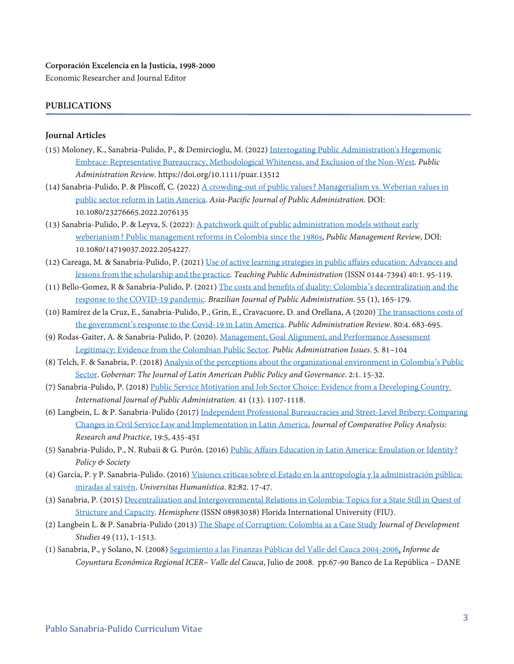#### **Corporación Excelencia en la Justicia, 1998-2000**

Economic Researcher and Journal Editor

## **PUBLICATIONS**

#### **Journal Articles**

- (15) Moloney, K., Sanabria‐Pulido, P., & Demircioglu, M. (2022) [Interrogating Public Administration's Hegemonic](https://onlinelibrary.wiley.com/doi/10.1111/puar.13512)  [Embrace: Representative Bureaucracy, Methodological Whiteness, and Exclusion of the Non‐West.](https://onlinelibrary.wiley.com/doi/10.1111/puar.13512) *Public Administration Review.* https://doi.org/10.1111/puar.13512
- (14) Sanabria-Pulido, P. & Pliscoff, C. (2022) [A crowding-out of public values? Managerialism vs. Weberian values in](https://www.tandfonline.com/doi/abs/10.1080/23276665.2022.2076135?src=&journalCode=rapa20)  [public sector reform in Latin America.](https://www.tandfonline.com/doi/abs/10.1080/23276665.2022.2076135?src=&journalCode=rapa20) *Asia-Pacific Journal of Public Administration*. DOI: 10.1080/23276665.2022.2076135
- (13) Sanabria-Pulido, P. & Leyva, S. (2022): [A patchwork quilt of public administration models without early](https://www.tandfonline.com/eprint/XQCVBX73ITSGUCH3HCCX/full?target=10.1080/14719037.2022.2054227)  [weberianism? Public management reforms in Colombia since the 1980s,](https://www.tandfonline.com/eprint/XQCVBX73ITSGUCH3HCCX/full?target=10.1080/14719037.2022.2054227) *Public Management Review*, DOI: 10.1080/14719037.2022.2054227.
- (12) Careaga, M. & Sanabria-Pulido, P. (2021) [Use of active learning strategies in public affairs education: Advances and](https://journals.sagepub.com/doi/abs/10.1177/01447394211004992?journalCode=tpaa)  [lessons from the scholarship and the practice.](https://journals.sagepub.com/doi/abs/10.1177/01447394211004992?journalCode=tpaa) *Teaching Public Administration* (ISSN 0144-7394) 40:1. 95-119.
- (11) Bello-Gomez, R & Sanabria-Pulido, P. (2021[\) The costs and benefits of duality: Colombia's decentralization and the](http://bibliotecadigital.fgv.br/ojs/index.php/rap/article/view/82801)  [response to the COVID-19 pandemic.](http://bibliotecadigital.fgv.br/ojs/index.php/rap/article/view/82801) *Brazilian Journal of Public Administration*. 55 (1), 165-179.
- (10) Ramírez de la Cruz, E., Sanabria-Pulido, P., Grin, E., Cravacuore, D. and Orellana, A (2020) [The transactions costs of](https://onlinelibrary.wiley.com/doi/epdf/10.1111/puar.13259)  [the government's response to the Covid-19 in Latin America.](https://onlinelibrary.wiley.com/doi/epdf/10.1111/puar.13259) *Public Administration Review*. 80:4. 683-695.
- (9) Rodas-Gaiter, A. & Sanabria-Pulido, P. (2020). [Management, Goal Alignment, and Performance Assessment](https://vgmu.hse.ru/en/2020--5/381717001.html#employment1)  [Legitimacy: Evidence from the Colombian Public Sector.](https://vgmu.hse.ru/en/2020--5/381717001.html#employment1) *Public Administration Issues*. 5. 81–104
- (8) Telch, F. & Sanabria, P. (2018[\) Analysis of the perceptions about the organizational environment in Colombia's Public](https://orb.binghamton.edu/cgi/viewcontent.cgi?article=1039&context=gobernar)  [Sector.](https://orb.binghamton.edu/cgi/viewcontent.cgi?article=1039&context=gobernar) *Gobernar: The Journal of Latin American Public Policy and Governance*. 2:1. 15-32.
- (7) Sanabria-Pulido, P. (2018) [Public Service Motivation and Job Sector Choice: Evidence from a](http://www.tandfonline.com/doi/abs/10.1080/01900692.2017.1320409) Developing Country. *International Journal of Public Administration.* 41 (13). 1107-1118.
- (6) Langbein, L. & P. Sanabria-Pulido (2017[\) Independent Professional Bureaucracies and Street-Level Bribery: Comparing](https://www.tandfonline.com/doi/abs/10.1080/13876988.2016.1252501)  [Changes in Civil Service Law and Implementation in Latin America,](https://www.tandfonline.com/doi/abs/10.1080/13876988.2016.1252501) *Journal of Comparative Policy Analysis: Research and Practice*, 19:5, 435-451
- (5) Sanabria-Pulido, P., N. Rubaii & G. Purón. (2016[\) Public Affairs Education in Latin America: Emulation or Identity?](http://www.sciencedirect.com/science/article/pii/S1449403516300613) *Policy & Society*
- (4) García, P. y P. Sanabria-Pulido. (2016) Visiones críticas sobre el Estado [en la antropología y la administración pública:](http://revistas.javeriana.edu.co/index.php/univhumanistica/article/view/16612/13300)  [miradas al vaivén.](http://revistas.javeriana.edu.co/index.php/univhumanistica/article/view/16612/13300) *Universitas Humanística*. 82:82. 17-47.
- (3) Sanabria, P. (2015) [Decentralization and Intergovernmental Relations in Colombia: Topics for a State Still in Quest of](http://lacc.fiu.edu/hemisphere/hemisphere-summer-2015.pdf)  [Structure and Capacity.](http://lacc.fiu.edu/hemisphere/hemisphere-summer-2015.pdf) *Hemisphere* (ISSN 08983038) Florida International University (FIU).
- (2) Langbein L. & P. Sanabria-Pulido (2013) [The Shape of Corruption: Colombia as a Case Study](http://www.tandfonline.com/doi/abs/10.1080/00220388.2013.800858#.VTVou1y4mi4) *Journal of Development Studies* 49 (11), 1-1513.
- (1) Sanabria, P., y Solano, N. (2008[\) Seguimiento a las Finanzas Públicas del Valle del Cauca 2004-2006,](http://www.banrep.gov.co/docum/Lectura_finanzas/pdf/2007_26.pdf) *Informe de Coyuntura Económica Regional ICER– Valle del Cauca*, Julio de 2008. pp.67-90 Banco de La República – DANE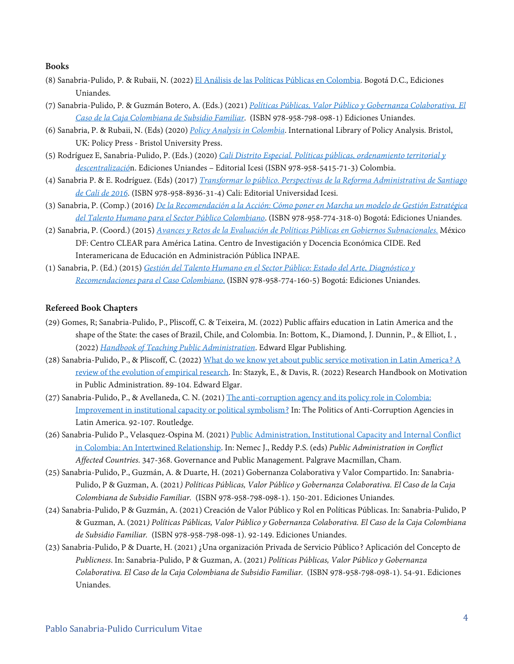#### **Books**

- (8) Sanabria-Pulido, P. & Rubaii, N. (2022[\) El Análisis de las Políticas Públicas en Colombia.](https://tienda.uniandes.edu.co/es/libros/libros-ediciones-uniandes-1/escuela-de-gobierno/an%C3%A1lisis-de-las-pol%C3%ADticas-p%C3%BAblicas-detail) Bogotá D.C., Ediciones Uniandes.
- (7) Sanabria-Pulido, P. & Guzmán Botero, A. (Eds.) (2021) *[Políticas Públicas, Valor Público y Gobernanza Colaborativa. El](https://gobierno.uniandes.edu.co/es/publicaciones/libros/politicas-publicas-valor-publico-y-gobernanza-colaborativa)  [Caso de la Caja Colombiana de Subsidio Familiar](https://gobierno.uniandes.edu.co/es/publicaciones/libros/politicas-publicas-valor-publico-y-gobernanza-colaborativa)*. (ISBN 978-958-798-098-1) Ediciones Uniandes.
- (6) Sanabria, P. & Rubaii, N. (Eds) (2020) *[Policy Analysis in Colombia](https://policy.bristoluniversitypress.co.uk/policy-analysis-in-colombia)*. International Library of Policy Analysis. Bristol, UK: Policy Press - Bristol University Press.
- (5) Rodríguez E, Sanabria-Pulido, P. (Eds.) (2020) *[Cali Distrito Especial. Políticas públicas, ordenamiento territorial y](https://www.icesi.edu.co/editorial/cali-distrito-especial/)  [descentralizació](https://www.icesi.edu.co/editorial/cali-distrito-especial/)*n. Ediciones Uniandes – Editorial Icesi (ISBN 978-958-5415-71-3) Colombia.
- (4) Sanabria P. & E. Rodríguez. (Eds) (2017) *[Transformar lo público. Perspectivas de la Reforma Administrativa de Santiago](http://repository.icesi.edu.co/biblioteca_digital/bitstream/10906/83541/1/sanabria_transformar_publico_2017.pdf)  [de Cali de 2016](http://repository.icesi.edu.co/biblioteca_digital/bitstream/10906/83541/1/sanabria_transformar_publico_2017.pdf)*. (ISBN 978-958-8936-31-4) Cali: Editorial Universidad Icesi.
- (3) Sanabria, P. (Comp.) (2016) *[De la Recomendación a la Acción: Cómo poner en Marcha un modelo de Gestión Estratégica](https://egob.uniandes.edu.co/index.php/en/component/abook/book/2-libros/112-de-la-recomendacion-a-la-accion-como-poner-en-marcha-un-modelo-de-gestion-estrategica-del-talento-humano-para-el-sector-publico-colombiano)  [del Talento Humano para el Sector Público Colombiano](https://egob.uniandes.edu.co/index.php/en/component/abook/book/2-libros/112-de-la-recomendacion-a-la-accion-como-poner-en-marcha-un-modelo-de-gestion-estrategica-del-talento-humano-para-el-sector-publico-colombiano)*. (ISBN 978-958-774-318-0) Bogotá: Ediciones Uniandes.
- (2) Sanabria, P. (Coord.) (2015) *[Avances y Retos de la Evaluación de Políticas Públicas en Gobiernos Subnacionales.](http://www.clear-la.org/home/wp-content/uploads/2015/10/Avances-y-retos-de-la-evaluacion-de-politi-cas-publicas-en-gobiernos-subnacionales.pdf)* México DF: Centro CLEAR para América Latina. Centro de Investigación y Docencia Económica CIDE. Red Interamericana de Educación en Administración Pública INPAE.
- (1) Sanabria, P. (Ed.) (2015) *[Gestión del Talento Humano en el Sector Público: Estado del Arte, Diagnóstico y](https://egob.uniandes.edu.co/index.php/es/component/abook/book/2-libros/90-gestion-estrategica-del-talento-humano-en-el-sector-publico-estado-del-arte-diagnostico-y-recomendaciones-para-el-caso-colombiano)  [Recomendaciones para el Caso Colombiano](https://egob.uniandes.edu.co/index.php/es/component/abook/book/2-libros/90-gestion-estrategica-del-talento-humano-en-el-sector-publico-estado-del-arte-diagnostico-y-recomendaciones-para-el-caso-colombiano)*. (ISBN 978-958-774-160-5) Bogotá: Ediciones Uniandes.

#### **Refereed Book Chapters**

- (29) Gomes, R; Sanabria-Pulido, P., Pliscoff, C. & Teixeira, M. (2022) Public affairs education in Latin America and the shape of the State: the cases of Brazil, Chile, and Colombia. In: Bottom, K., Diamond, J. Dunnin, P., & Elliot, I. , (2022) *[Handbook of Teaching Public Administration](https://www.e-elgar.com/shop/usd/handbook-of-teaching-public-administration-9781800375680.html)*. Edward Elgar Publishing.
- (28) Sanabria-Pulido, P., & Pliscoff, C. (2022[\) What do we know yet about public service motivation in Latin America? A](https://www.e-elgar.com/shop/usd/research-handbook-on-motivation-in-public-administration-9781789906790.html)  [review of the evolution of empirical research.](https://www.e-elgar.com/shop/usd/research-handbook-on-motivation-in-public-administration-9781789906790.html) In: Stazyk, E., & Davis, R. (2022) Research Handbook on Motivation in Public Administration. 89-104. Edward Elgar.
- (27) Sanabria-Pulido, P., & Avellaneda, C. N. (2021) [The anti-corruption agency and its policy role in Colombia:](https://www.taylorfrancis.com/chapters/edit/10.4324/9781003147886-7/anti-corruption-agency-policy-role-colombia-pablo-sanabria-pulido-claudia-avellaneda)  [Improvement in institutional capacity or political symbolism?](https://www.taylorfrancis.com/chapters/edit/10.4324/9781003147886-7/anti-corruption-agency-policy-role-colombia-pablo-sanabria-pulido-claudia-avellaneda) In: The Politics of Anti-Corruption Agencies in Latin America. 92-107. Routledge.
- (26) Sanabria-Pulido P., Velasquez-Ospina M. (2021) [Public Administration, Institutional Capacity and Internal Conflict](https://link.springer.com/chapter/10.1007/978-3-030-74966-8_16)  [in Colombia: An Intertwined Relationship.](https://link.springer.com/chapter/10.1007/978-3-030-74966-8_16) In: Nemec J., Reddy P.S. (eds) *Public Administration in Conflict Affected Countries.* 347-368. Governance and Public Management. Palgrave Macmillan, Cham.
- (25) Sanabria-Pulido, P., Guzmán, A. & Duarte, H. (2021) Gobernanza Colaborativa y Valor Compartido. In: Sanabria-Pulido, P & Guzman, A. (2021*) Políticas Públicas, Valor Público y Gobernanza Colaborativa. El Caso de la Caja Colombiana de Subsidio Familiar.* (ISBN 978-958-798-098-1). 150-201. Ediciones Uniandes.
- (24) Sanabria-Pulido, P & Guzmán, A. (2021) Creación de Valor Público y Rol en Políticas Públicas. In: Sanabria-Pulido, P & Guzman, A. (2021*) Políticas Públicas, Valor Público y Gobernanza Colaborativa. El Caso de la Caja Colombiana de Subsidio Familiar.* (ISBN 978-958-798-098-1). 92-149. Ediciones Uniandes.
- (23) Sanabria-Pulido, P & Duarte, H. (2021) ¿Una organización Privada de Servicio Público? Aplicación del Concepto de *Publicness*. In: Sanabria-Pulido, P & Guzman, A. (2021*) Políticas Públicas, Valor Público y Gobernanza Colaborativa. El Caso de la Caja Colombiana de Subsidio Familiar.* (ISBN 978-958-798-098-1). 54-91. Ediciones Uniandes.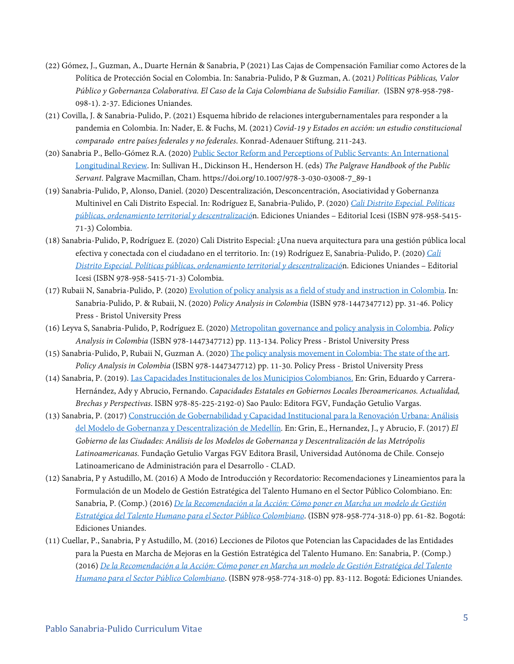- (22) Gómez, J., Guzman, A., Duarte Hernán & Sanabria, P (2021) Las Cajas de Compensación Familiar como Actores de la Política de Protección Social en Colombia. In: Sanabria-Pulido, P & Guzman, A. (2021*) Políticas Públicas, Valor Público y Gobernanza Colaborativa. El Caso de la Caja Colombiana de Subsidio Familiar.* (ISBN 978-958-798- 098-1). 2-37. Ediciones Uniandes.
- (21) Covilla, J. & Sanabria-Pulido, P. (2021) Esquema híbrido de relaciones intergubernamentales para responder a la pandemia en Colombia. In: Nader, E. & Fuchs, M. (2021) *Covid-19 y Estados en acción: un estudio constitucional comparado entre países federales y no federales*. Konrad-Adenauer Stiftung. 211-243.
- (20) Sanabria P., Bello-Gómez R.A. (2020) [Public Sector Reform and Perceptions of Public Servants: An International](https://link.springer.com/referenceworkentry/10.1007/978-3-030-03008-7_89-1)  [Longitudinal Review.](https://link.springer.com/referenceworkentry/10.1007/978-3-030-03008-7_89-1) In: Sullivan H., Dickinson H., Henderson H. (eds) *The Palgrave Handbook of the Public Servant*. Palgrave Macmillan, Cham. https://doi.org/10.1007/978-3-030-03008-7\_89-1
- (19) Sanabria-Pulido, P, Alonso, Daniel. (2020) Descentralización, Desconcentración, Asociatividad y Gobernanza Multinivel en Cali Distrito Especial. In: Rodríguez E, Sanabria-Pulido, P. (2020) *[Cali Distrito Especial. Políticas](https://www.icesi.edu.co/editorial/cali-distrito-especial/)  [públicas, ordenamiento territorial y descentralizació](https://www.icesi.edu.co/editorial/cali-distrito-especial/)*n. Ediciones Uniandes – Editorial Icesi (ISBN 978-958-5415- 71-3) Colombia.
- (18) Sanabria-Pulido, P, Rodríguez E. (2020) Cali Distrito Especial: ¿Una nueva arquitectura para una gestión pública local efectiva y conectada con el ciudadano en el territorio. In: (19) Rodríguez E, Sanabria-Pulido, P. (2020) *[Cali](https://www.icesi.edu.co/editorial/cali-distrito-especial/)  [Distrito Especial. Políticas públicas, ordenamiento territorial y descentralizació](https://www.icesi.edu.co/editorial/cali-distrito-especial/)*n. Ediciones Uniandes – Editorial Icesi (ISBN 978-958-5415-71-3) Colombia.
- (17) Rubaii N, Sanabria-Pulido, P. (2020[\) Evolution of policy analysis as a field of study and instruction in Colombia.](https://policy.bristoluniversitypress.co.uk/policy-analysis-in-colombia) In: Sanabria-Pulido, P. & Rubaii, N. (2020) *Policy Analysis in Colombia* (ISBN 978-1447347712) pp. 31-46. Policy Press - Bristol University Press
- (16) Leyva S, Sanabria-Pulido, P, Rodríguez E. (2020[\) Metropolitan governance and policy analysis in Colombia.](https://policy.bristoluniversitypress.co.uk/policy-analysis-in-colombia) *Policy Analysis in Colombia* (ISBN 978-1447347712) pp. 113-134. Policy Press - Bristol University Press
- (15) Sanabria-Pulido, P, Rubaii N, Guzman A. (2020[\) The policy analysis movement in Colombia: The state of the art.](https://policy.bristoluniversitypress.co.uk/policy-analysis-in-colombia)  *Policy Analysis in Colombia* (ISBN 978-1447347712) pp. 11-30. Policy Press - Bristol University Press
- (14) Sanabria, P. (2019)[. Las Capacidades Institucionales de los Municipios Colombianos.](https://pablosanabria.files.wordpress.com/2020/11/sanabria-2019-e28093-las-capacidades-institucionales-de-los-municipios-colombianos.pdf) En: Grin, Eduardo y Carrera-Hernández, Ady y Abrucio, Fernando. *Capacidades Estatales en Gobiernos Locales Iberoamericanos. Actualidad, Brechas y Perspectivas*. ISBN 978-85-225-2192-0) Sao Paulo: Editora FGV, Fundação Getulio Vargas.
- (13) Sanabria, P. (2017[\) Construcción de Gobernabilidad y Capacidad Institucional para la Renovación Urbana: Análisis](http://siare.clad.org/fulltext/0086203.pdf)  [del Modelo de Gobernanza y Descentralización de Medellín](http://siare.clad.org/fulltext/0086203.pdf)*.* En: Grin, E., Hernandez, J., y Abrucio, F. (2017) *El Gobierno de las Ciudades: Análisis de los Modelos de Gobernanza y Descentralización de las Metrópolis Latinoamericanas.* Fundação Getulio Vargas FGV Editora Brasil, Universidad Autónoma de Chile. Consejo Latinoamericano de Administración para el Desarrollo - CLAD.
- (12) Sanabria, P y Astudillo, M. (2016) A Modo de Introducción y Recordatorio: Recomendaciones y Lineamientos para la Formulación de un Modelo de Gestión Estratégica del Talento Humano en el Sector Público Colombiano. En: Sanabria, P. (Comp.) (2016) *[De la Recomendación a la Acción: Cómo poner en Marcha un modelo de Gestión](https://egob.uniandes.edu.co/index.php/en/component/abook/book/2-libros/112-de-la-recomendacion-a-la-accion-como-poner-en-marcha-un-modelo-de-gestion-estrategica-del-talento-humano-para-el-sector-publico-colombiano)  [Estratégica del Talento Humano para el Sector Público Colombiano](https://egob.uniandes.edu.co/index.php/en/component/abook/book/2-libros/112-de-la-recomendacion-a-la-accion-como-poner-en-marcha-un-modelo-de-gestion-estrategica-del-talento-humano-para-el-sector-publico-colombiano)*. (ISBN 978-958-774-318-0) pp. 61-82. Bogotá: Ediciones Uniandes.
- (11) Cuellar, P., Sanabria, P y Astudillo, M. (2016) Lecciones de Pilotos que Potencian las Capacidades de las Entidades para la Puesta en Marcha de Mejoras en la Gestión Estratégica del Talento Humano. En: Sanabria, P. (Comp.) (2016) *[De la Recomendación a la Acción: Cómo poner en Marcha un modelo de Gestión Estratégica del Talento](https://egob.uniandes.edu.co/index.php/en/component/abook/book/2-libros/112-de-la-recomendacion-a-la-accion-como-poner-en-marcha-un-modelo-de-gestion-estrategica-del-talento-humano-para-el-sector-publico-colombiano)  [Humano para el Sector Público Colombiano](https://egob.uniandes.edu.co/index.php/en/component/abook/book/2-libros/112-de-la-recomendacion-a-la-accion-como-poner-en-marcha-un-modelo-de-gestion-estrategica-del-talento-humano-para-el-sector-publico-colombiano)*. (ISBN 978-958-774-318-0) pp. 83-112. Bogotá: Ediciones Uniandes.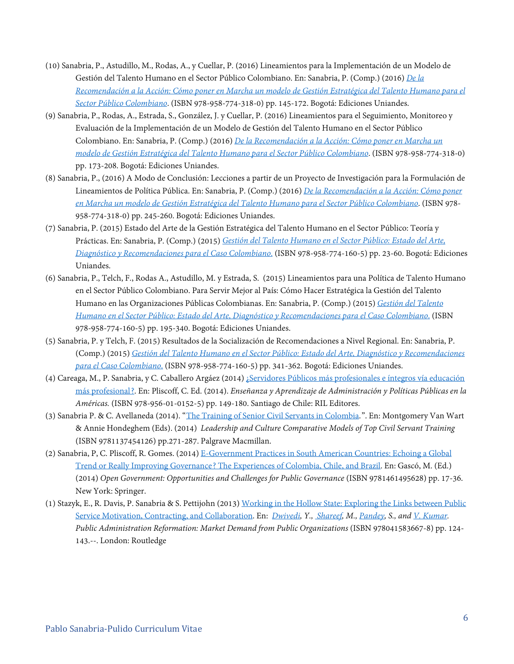- (10) Sanabria, P., Astudillo, M., Rodas, A., y Cuellar, P. (2016) Lineamientos para la Implementación de un Modelo de Gestión del Talento Humano en el Sector Público Colombiano. En: Sanabria, P. (Comp.) (2016) *[De la](https://egob.uniandes.edu.co/index.php/en/component/abook/book/2-libros/112-de-la-recomendacion-a-la-accion-como-poner-en-marcha-un-modelo-de-gestion-estrategica-del-talento-humano-para-el-sector-publico-colombiano)  [Recomendación a la Acción: Cómo poner en Marcha un modelo de Gestión Estratégica del Talento Humano para el](https://egob.uniandes.edu.co/index.php/en/component/abook/book/2-libros/112-de-la-recomendacion-a-la-accion-como-poner-en-marcha-un-modelo-de-gestion-estrategica-del-talento-humano-para-el-sector-publico-colombiano)  [Sector Público Colombiano](https://egob.uniandes.edu.co/index.php/en/component/abook/book/2-libros/112-de-la-recomendacion-a-la-accion-como-poner-en-marcha-un-modelo-de-gestion-estrategica-del-talento-humano-para-el-sector-publico-colombiano)*. (ISBN 978-958-774-318-0) pp. 145-172. Bogotá: Ediciones Uniandes.
- (9) Sanabria, P., Rodas, A., Estrada, S., González, J. y Cuellar, P. (2016) Lineamientos para el Seguimiento, Monitoreo y Evaluación de la Implementación de un Modelo de Gestión del Talento Humano en el Sector Público Colombiano. En: Sanabria, P. (Comp.) (2016) *[De la Recomendación a la Acción: Cómo poner en Marcha un](https://egob.uniandes.edu.co/index.php/en/component/abook/book/2-libros/112-de-la-recomendacion-a-la-accion-como-poner-en-marcha-un-modelo-de-gestion-estrategica-del-talento-humano-para-el-sector-publico-colombiano)  [modelo de Gestión Estratégica del Talento Humano para el Sector Público Colombiano](https://egob.uniandes.edu.co/index.php/en/component/abook/book/2-libros/112-de-la-recomendacion-a-la-accion-como-poner-en-marcha-un-modelo-de-gestion-estrategica-del-talento-humano-para-el-sector-publico-colombiano)*. (ISBN 978-958-774-318-0) pp. 173-208. Bogotá: Ediciones Uniandes.
- (8) Sanabria, P., (2016) A Modo de Conclusión: Lecciones a partir de un Proyecto de Investigación para la Formulación de Lineamientos de Política Pública. En: Sanabria, P. (Comp.) (2016) *[De la Recomendación a la Acción: Cómo poner](https://egob.uniandes.edu.co/index.php/en/component/abook/book/2-libros/112-de-la-recomendacion-a-la-accion-como-poner-en-marcha-un-modelo-de-gestion-estrategica-del-talento-humano-para-el-sector-publico-colombiano)  [en Marcha un modelo de Gestión Estratégica del Talento Humano para el Sector Público Colombiano](https://egob.uniandes.edu.co/index.php/en/component/abook/book/2-libros/112-de-la-recomendacion-a-la-accion-como-poner-en-marcha-un-modelo-de-gestion-estrategica-del-talento-humano-para-el-sector-publico-colombiano)*. (ISBN 978- 958-774-318-0) pp. 245-260. Bogotá: Ediciones Uniandes.
- (7) Sanabria, P. (2015) Estado del Arte de la Gestión Estratégica del Talento Humano en el Sector Público: Teoría y Prácticas. En: Sanabria, P. (Comp.) (2015) *[Gestión del Talento Humano en el Sector Público:](https://egob.uniandes.edu.co/index.php/es/component/abook/book/2-libros/90-gestion-estrategica-del-talento-humano-en-el-sector-publico-estado-del-arte-diagnostico-y-recomendaciones-para-el-caso-colombiano) Estado del Arte, [Diagnóstico y Recomendaciones para el Caso Colombiano](https://egob.uniandes.edu.co/index.php/es/component/abook/book/2-libros/90-gestion-estrategica-del-talento-humano-en-el-sector-publico-estado-del-arte-diagnostico-y-recomendaciones-para-el-caso-colombiano)*. (ISBN 978-958-774-160-5) pp. 23-60. Bogotá: Ediciones Uniandes.
- (6) Sanabria, P., Telch, F., Rodas A., Astudillo, M. y Estrada, S. (2015) Lineamientos para una Política de Talento Humano en el Sector Público Colombiano. Para Servir Mejor al País: Cómo Hacer Estratégica la Gestión del Talento Humano en las Organizaciones Públicas Colombianas. En: Sanabria, P. (Comp.) (2015) *[Gestión del Talento](https://egob.uniandes.edu.co/index.php/es/component/abook/book/2-libros/90-gestion-estrategica-del-talento-humano-en-el-sector-publico-estado-del-arte-diagnostico-y-recomendaciones-para-el-caso-colombiano)  [Humano en el Sector Público: Estado del Arte, Diagnóstico y Recomendaciones para el Caso Colombiano](https://egob.uniandes.edu.co/index.php/es/component/abook/book/2-libros/90-gestion-estrategica-del-talento-humano-en-el-sector-publico-estado-del-arte-diagnostico-y-recomendaciones-para-el-caso-colombiano)*. (ISBN 978-958-774-160-5) pp. 195-340. Bogotá: Ediciones Uniandes.
- (5) Sanabria, P. y Telch, F. (2015) Resultados de la Socialización de Recomendaciones a Nivel Regional. En: Sanabria, P. (Comp.) (2015) *[Gestión del Talento Humano en el Sector Público: Estado del Arte, Diagnóstico y Recomendaciones](https://egob.uniandes.edu.co/index.php/es/component/abook/book/2-libros/90-gestion-estrategica-del-talento-humano-en-el-sector-publico-estado-del-arte-diagnostico-y-recomendaciones-para-el-caso-colombiano)  [para el Caso Colombiano](https://egob.uniandes.edu.co/index.php/es/component/abook/book/2-libros/90-gestion-estrategica-del-talento-humano-en-el-sector-publico-estado-del-arte-diagnostico-y-recomendaciones-para-el-caso-colombiano)*. (ISBN 978-958-774-160-5) pp. 341-362. Bogotá: Ediciones Uniandes.
- (4) Careaga, M., P. Sanabria, y C. Caballero Argáez (2014) [¿Servidores Públicos más profesionales e íntegros vía educación](http://www.rileditores.com/#!Ense%C3%B1anza-y-aprendizaje-de-administraci%C3%B3n-y-pol%C3%ADticas-p%C3%BAblicas-en-las-Am%C3%A9ricas/c1evq/i3c041wt34)  [más profesional?.](http://www.rileditores.com/#!Ense%C3%B1anza-y-aprendizaje-de-administraci%C3%B3n-y-pol%C3%ADticas-p%C3%BAblicas-en-las-Am%C3%A9ricas/c1evq/i3c041wt34) En: Pliscoff, C. Ed. (2014). *Enseñanza y Aprendizaje de Administración y Políticas Públicas en la Américas.* (ISBN 978-956-01-0152-5) pp. 149-180. Santiago de Chile: RIL Editores.
- (3) Sanabria P. & C. Avellaneda (2014). ["The Training of Senior Civil Servants in Colombia.](https://www.palgrave.com/br/book/9781137454126)". En: Montgomery Van Wart & Annie Hondeghem (Eds). (2014) *Leadership and Culture Comparative Models of Top Civil Servant Training* (ISBN 9781137454126) pp.271-287. Palgrave Macmillan.
- (2) Sanabria, P, C. Pliscoff, R. Gomes. (2014) [E-Government Practices in South American Countries: Echoing a Global](http://www.springer.com/us/book/9781461495628)  [Trend or Really Improving Governance? The Experiences of Colombia, Chile, and Brazil.](http://www.springer.com/us/book/9781461495628) En: Gascó, M. (Ed.) (2014) *Open Government: Opportunities and Challenges for Public Governance* (ISBN 9781461495628) pp. 17-36. New York: Springer.
- (1) Stazyk, E., R. Davis, P. Sanabria & S. Pettijohn (2013) [Working in the Hollow State: Exploring the Links between Public](http://www.routledge.com/books/details/9780415836678/)  [Service Motivation, Contracting, and Collaboration.](http://www.routledge.com/books/details/9780415836678/) En: *[Dwivedi,](https://www.routledge.com/products/search?author=Yogesh%20K.%20Dwivedi) Y.[, Shareef,](https://www.routledge.com/products/search?author=Mahmud%20Shareef) M., [Pandey,](https://www.routledge.com/products/search?author=Sanjay%20K%20Pandey) S., an[d V. Kumar.](https://www.routledge.com/products/search?author=Vinod%20Kumar) Public Administration Reformation: Market Demand from Public Organizations* (ISBN 978041583667-8) pp. 124- 143.--. London: Routledge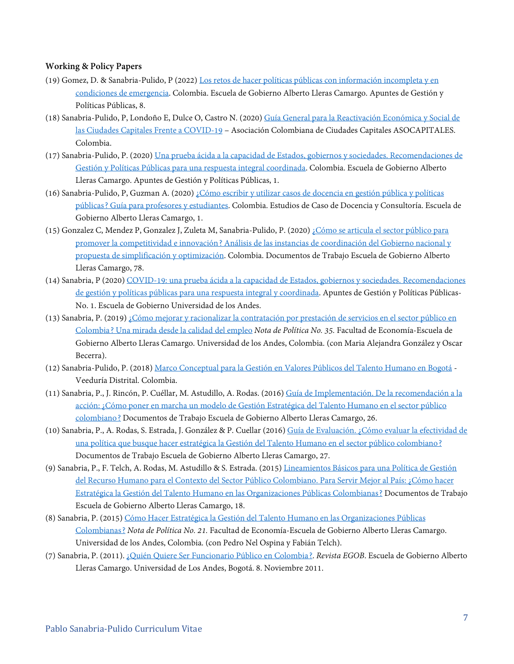#### **Working & Policy Papers**

- (19) Gomez, D. & Sanabria-Pulido, P (2022) [Los retos de hacer políticas públicas con información incompleta y en](https://gobierno.uniandes.edu.co/es/publicaciones/apuntes-de-gestion-y-politicas-publicas/apuntes-de-gestion-y-politicas-publicas-no-8)  [condiciones de emergencia.](https://gobierno.uniandes.edu.co/es/publicaciones/apuntes-de-gestion-y-politicas-publicas/apuntes-de-gestion-y-politicas-publicas-no-8) Colombia. Escuela de Gobierno Alberto Lleras Camargo. Apuntes de Gestión y Políticas Públicas, 8.
- (18) Sanabria-Pulido, P, Londoño E, Dulce O, Castro N. (2020[\) Guía General para la Reactivación Económica y Social de](https://www.asocapitales.co/nueva/2020/09/25/guia-general-para-la-reactivacion-economica-y-social-de-las-ciudades-capitales-frente-a-covid-19/)  [las Ciudades Capitales Frente a COVID-19](https://www.asocapitales.co/nueva/2020/09/25/guia-general-para-la-reactivacion-economica-y-social-de-las-ciudades-capitales-frente-a-covid-19/) – Asociación Colombiana de Ciudades Capitales ASOCAPITALES. Colombia.
- (17) Sanabria-Pulido, P. (2020) [Una prueba ácida a la capacidad de Estados, gobiernos y sociedades. Recomendaciones de](https://egob.uniandes.edu.co/es/component/abook/book/16-apuntes-de-gestion-y-politicas-publicas/165-covid-19-una-prueba-acida-a-la-capacidad-de-estados-gobiernos-y-sociedades-recomendaciones-de-gestion-y-politicas-publicas-para-una-respuesta-integral-y-coordinada)  [Gestión y Políticas Públicas para una respuesta integral coordinada.](https://egob.uniandes.edu.co/es/component/abook/book/16-apuntes-de-gestion-y-politicas-publicas/165-covid-19-una-prueba-acida-a-la-capacidad-de-estados-gobiernos-y-sociedades-recomendaciones-de-gestion-y-politicas-publicas-para-una-respuesta-integral-y-coordinada) Colombia. Escuela de Gobierno Alberto Lleras Camargo. Apuntes de Gestión y Políticas Públicas, 1.
- (16) Sanabria-Pulido, P, Guzman A. (2020[\) ¿Cómo escribir y utilizar casos de docencia en gestión pública y políticas](https://egob.uniandes.edu.co/es/component/abook/book/17-estudios-de-caso-de-docencia-y-consultoria/173-como-escribir-y-utilizar-casos-de-docencia-en-gestion-publica-y-politicas-publicas-guia-para-profesores-y-estudiantes)  [públicas? Guía para profesores y estudiantes.](https://egob.uniandes.edu.co/es/component/abook/book/17-estudios-de-caso-de-docencia-y-consultoria/173-como-escribir-y-utilizar-casos-de-docencia-en-gestion-publica-y-politicas-publicas-guia-para-profesores-y-estudiantes) Colombia. Estudios de Caso de Docencia y Consultoría. Escuela de Gobierno Alberto Lleras Camargo, 1.
- (15) Gonzalez C, Mendez P, Gonzalez J, Zuleta M, Sanabria-Pulido, P. (2020) [¿Cómo se articula el sector público para](https://egob.uniandes.edu.co/es/component/abook/book/12-documentos-de-trabajo/176-como-se-articula-el-sector-publico-para-promover-la-competitividad-e-innovacion-analisis-de-las-instancias-de-coordinacion-del-gobierno-nacional-y-propuesta-de-simplificacion-y-optimizacion)  [promover la competitividad e innovación? Análisis de las instancias de coordinación del Gobierno nacional y](https://egob.uniandes.edu.co/es/component/abook/book/12-documentos-de-trabajo/176-como-se-articula-el-sector-publico-para-promover-la-competitividad-e-innovacion-analisis-de-las-instancias-de-coordinacion-del-gobierno-nacional-y-propuesta-de-simplificacion-y-optimizacion)  [propuesta de simplificación y optimización.](https://egob.uniandes.edu.co/es/component/abook/book/12-documentos-de-trabajo/176-como-se-articula-el-sector-publico-para-promover-la-competitividad-e-innovacion-analisis-de-las-instancias-de-coordinacion-del-gobierno-nacional-y-propuesta-de-simplificacion-y-optimizacion) Colombia. Documentos de Trabajo Escuela de Gobierno Alberto Lleras Camargo, 78.
- (14) Sanabria, P (2020) [COVID-19: una prueba ácida a la capacidad de Estados, gobiernos y sociedades. Recomendaciones](ttps://egob.uniandes.edu.co/es/component/abook/book/16-apuntes-de-gestion-y-politicas-publicas/165-covid-19-una-prueba-acida-a-la-capacidad-de-estados-gobiernos-y-sociedades-recomendaciones-de-gestion-y-politicas-publicas-para-una-respuesta-integral-y-coordinada)  [de gestión y políticas públicas para una respuesta integral y coordinada.](ttps://egob.uniandes.edu.co/es/component/abook/book/16-apuntes-de-gestion-y-politicas-publicas/165-covid-19-una-prueba-acida-a-la-capacidad-de-estados-gobiernos-y-sociedades-recomendaciones-de-gestion-y-politicas-publicas-para-una-respuesta-integral-y-coordinada) Apuntes de Gestión y Políticas Públicas-No. 1. Escuela de Gobierno Universidad de los Andes.
- (13) Sanabria, P. (2019[\) ¿Cómo mejorar y racionalizar la contratación por prestación de servicios en el sector público en](https://egob.uniandes.edu.co/es/me-publicaciones/notas-de-politica/15-notas-de-politica/160-como-mejorar-y-racionalizar-la-contratacion-por-prestacion-de-servicios-en-el-sector-publico-en-colombia-una-mirada-desde-la-calidad-del-empleo)  [Colombia? Una mirada desde la calidad del empleo](https://egob.uniandes.edu.co/es/me-publicaciones/notas-de-politica/15-notas-de-politica/160-como-mejorar-y-racionalizar-la-contratacion-por-prestacion-de-servicios-en-el-sector-publico-en-colombia-una-mirada-desde-la-calidad-del-empleo) *Nota de Política No. 35.* Facultad de Economía-Escuela de Gobierno Alberto Lleras Camargo. Universidad de los Andes, Colombia. (con Maria Alejandra González y Oscar Becerra).
- (12) Sanabria-Pulido, P. (2018) [Marco Conceptual para la Gestión en Valores Públicos del Talento Humano en Bogotá -](https://pablosanabria.files.wordpress.com/2020/11/sanabria-2018-marco-conceptual-para-la-gestion-de-valores-publicos-vf-16-abr-18.pdf) Veeduría Distrital. Colombia.
- (11) Sanabria, P., J. Rincón, P. Cuéllar, M. Astudillo, A. Rodas. (2016[\) Guía de Implementación. De la recomendación a la](https://egob.uniandes.edu.co/index.php/es/component/abook/book/12-documentos-de-trabajo/94-guia-de-implementacion-de-la-recomendacion-a-la-accion-como-poner-en-marcha-un-modelo-de-gestion-estrategica-del-talento-humano-en-el-sector-publico-colombiano)  [acción: ¿Cómo poner en marcha un modelo de Gestión Estratégica del Talento Humano en el sector público](https://egob.uniandes.edu.co/index.php/es/component/abook/book/12-documentos-de-trabajo/94-guia-de-implementacion-de-la-recomendacion-a-la-accion-como-poner-en-marcha-un-modelo-de-gestion-estrategica-del-talento-humano-en-el-sector-publico-colombiano)  [colombiano?](https://egob.uniandes.edu.co/index.php/es/component/abook/book/12-documentos-de-trabajo/94-guia-de-implementacion-de-la-recomendacion-a-la-accion-como-poner-en-marcha-un-modelo-de-gestion-estrategica-del-talento-humano-en-el-sector-publico-colombiano) Documentos de Trabajo Escuela de Gobierno Alberto Lleras Camargo, 26.
- (10) Sanabria, P., A. Rodas, S. Estrada, J. González & P. Cuellar (2016[\) Guía de Evaluación. ¿Cómo evaluar la efectividad de](https://egob.uniandes.edu.co/index.php/es/component/abook/book/12-documentos-de-trabajo/95-guia-de-evaluacion-como-evaluar-la-efectividad-de-una-politica-que-busque-hacer-estrategica-la-gestion-del-talento-humano-en-el-sector-publico-colombiano)  [una política que busque hacer estratégica la Gestión del Talento Humano en el sector público colombiano?](https://egob.uniandes.edu.co/index.php/es/component/abook/book/12-documentos-de-trabajo/95-guia-de-evaluacion-como-evaluar-la-efectividad-de-una-politica-que-busque-hacer-estrategica-la-gestion-del-talento-humano-en-el-sector-publico-colombiano) Documentos de Trabajo Escuela de Gobierno Alberto Lleras Camargo, 27.
- (9) Sanabria, P., F. Telch, A. Rodas, M. Astudillo & S. Estrada. (2015) [Lineamientos Básicos para una Política de Gestión](https://egob.uniandes.edu.co/index.php/es/component/abook/book/12-documentos-de-trabajo/65-documento-de-recomendaciones-para-servir-mejor-al-pais-como-hacer-estrategica-la-gestion-del-talento-humano-en-las-organizaciones-publicas-colombianas)  [del Recurso Humano para el Contexto del Sector Público Colombiano. Para Servir Mejor al País: ¿Cómo hacer](https://egob.uniandes.edu.co/index.php/es/component/abook/book/12-documentos-de-trabajo/65-documento-de-recomendaciones-para-servir-mejor-al-pais-como-hacer-estrategica-la-gestion-del-talento-humano-en-las-organizaciones-publicas-colombianas)  [Estratégica la Gestión del Talento Humano en las Organizaciones Públicas](https://egob.uniandes.edu.co/index.php/es/component/abook/book/12-documentos-de-trabajo/65-documento-de-recomendaciones-para-servir-mejor-al-pais-como-hacer-estrategica-la-gestion-del-talento-humano-en-las-organizaciones-publicas-colombianas) Colombianas? Documentos de Trabajo Escuela de Gobierno Alberto Lleras Camargo, 18.
- (8) Sanabria, P. (2015[\) Cómo Hacer Estratégica la Gestión del Talento Humano en las Organizaciones Públicas](https://egob.uniandes.edu.co/index.php/es/me-publicaciones/notas-de-politica/15-notas-de-politica/79-como-hacer-estrategica-la-gestion-del-talento-humano-en-las-organizaciones-publicas-colombianas)  [Colombianas?](https://egob.uniandes.edu.co/index.php/es/me-publicaciones/notas-de-politica/15-notas-de-politica/79-como-hacer-estrategica-la-gestion-del-talento-humano-en-las-organizaciones-publicas-colombianas) *Nota de Política No. 21.* Facultad de Economía-Escuela de Gobierno Alberto Lleras Camargo. Universidad de los Andes, Colombia. (con Pedro Nel Ospina y Fabián Telch).
- (7) Sanabria, P. (2011)[. ¿Quién Quiere Ser Funcionario Público en Colombia?.](http://www.banrepcultural.org/blaavirtual/articulos/colfuturo/quien-quiere-ser-funcionario-publico-colombia) *Revista EGOB*. Escuela de Gobierno Alberto Lleras Camargo. Universidad de Los Andes, Bogotá. 8. Noviembre 2011.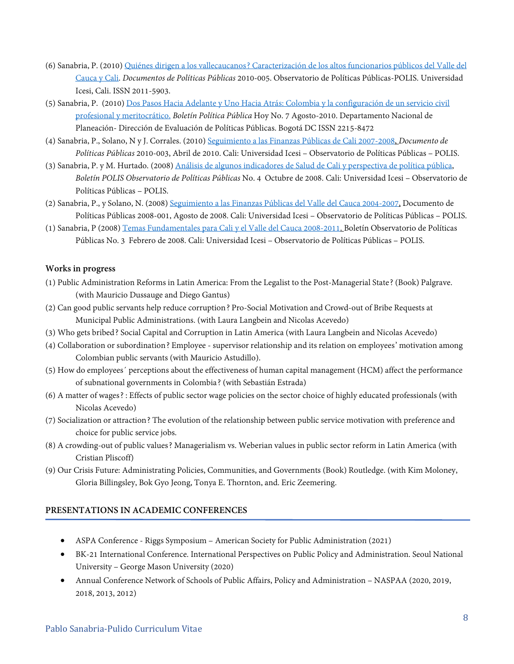- (6) Sanabria, P. (2010[\) Quiénes dirigen a los vallecaucanos? Caracterización de los altos funcionarios públicos del Valle del](http://repository.icesi.edu.co/biblioteca_digital/handle/10906/80772)  [Cauca y Cali.](http://repository.icesi.edu.co/biblioteca_digital/handle/10906/80772) *Documentos de Políticas Públicas* 2010-005. Observatorio de Políticas Públicas-POLIS. Universidad Icesi, Cali. ISSN 2011-5903.
- (5) Sanabria, P. (2010[\) Dos Pasos Hacia Adelante y Uno Hacia Atrás: Colombia y la configuración de un servicio civil](https://colaboracion.dnp.gov.co/CDT/Sinergia/Documentos/Boletin_Politica_Publica_Hoy_07.pdf)  [profesional y meritocrático.](https://colaboracion.dnp.gov.co/CDT/Sinergia/Documentos/Boletin_Politica_Publica_Hoy_07.pdf) *Boletín Política Pública* Hoy No. 7 Agosto-2010. Departamento Nacional de Planeación- Dirección de Evaluación de Políticas Públicas. Bogotá DC ISSN 2215-8472
- (4) Sanabria, P., Solano, N y J. Corrales. (2010[\) Seguimiento a las Finanzas Públicas de Cali 2007-2008,](http://repository.icesi.edu.co/biblioteca_digital/handle/10906/2300) *Documento de Políticas Públicas* 2010-003, Abril de 2010. Cali: Universidad Icesi – Observatorio de Políticas Públicas – POLIS.
- (3) Sanabria, P. y M. Hurtado. (2008) [Análisis de algunos indicadores de Salud de Cali y perspectiva de política pública,](http://repository.icesi.edu.co/biblioteca_digital/handle/10906/3756) *Boletín POLIS Observatorio de Políticas Públicas* No. 4 Octubre de 2008. Cali: Universidad Icesi – Observatorio de Políticas Públicas – POLIS.
- (2) Sanabria, P., y Solano, N. (2008[\) Seguimiento a las Finanzas Públicas del Valle del Cauca 2004-2007,](http://repository.icesi.edu.co/biblioteca_digital/handle/10906/2225) Documento de Políticas Públicas 2008-001, Agosto de 2008. Cali: Universidad Icesi – Observatorio de Políticas Públicas – POLIS.
- (1) Sanabria, P (2008) [Temas Fundamentales para Cali y el Valle del Cauca 2008-2011.](http://repository.icesi.edu.co/biblioteca_digital/handle/10906/1718) Boletín Observatorio de Políticas Públicas No. 3 Febrero de 2008. Cali: Universidad Icesi – Observatorio de Políticas Públicas – POLIS.

#### **Works in progress**

- (1) Public Administration Reforms in Latin America: From the Legalist to the Post-Managerial State? (Book) Palgrave. (with Mauricio Dussauge and Diego Gantus)
- (2) Can good public servants help reduce corruption? Pro-Social Motivation and Crowd-out of Bribe Requests at Municipal Public Administrations. (with Laura Langbein and Nicolas Acevedo)
- (3) Who gets bribed? Social Capital and Corruption in Latin America (with Laura Langbein and Nicolas Acevedo)
- (4) Collaboration or subordination? Employee supervisor relationship and its relation on employees' motivation among Colombian public servants (with Mauricio Astudillo).
- (5) How do employees´ perceptions about the effectiveness of human capital management (HCM) affect the performance of subnational governments in Colombia? (with Sebastián Estrada)
- (6) A matter of wages? : Effects of public sector wage policies on the sector choice of highly educated professionals (with Nicolas Acevedo)
- (7) Socialization or attraction? The evolution of the relationship between public service motivation with preference and choice for public service jobs.
- (8) A crowding-out of public values? Managerialism vs. Weberian values in public sector reform in Latin America (with Cristian Pliscoff)
- (9) Our Crisis Future: Administrating Policies, Communities, and Governments (Book) Routledge. (with Kim Moloney, Gloria Billingsley, Bok Gyo Jeong, Tonya E. Thornton, and. Eric Zeemering.

## **PRESENTATIONS IN ACADEMIC CONFERENCES**

- ASPA Conference Riggs Symposium American Society for Public Administration (2021)
- BK-21 International Conference. International Perspectives on Public Policy and Administration. Seoul National University – George Mason University (2020)
- Annual Conference Network of Schools of Public Affairs, Policy and Administration NASPAA (2020, 2019, 2018, 2013, 2012)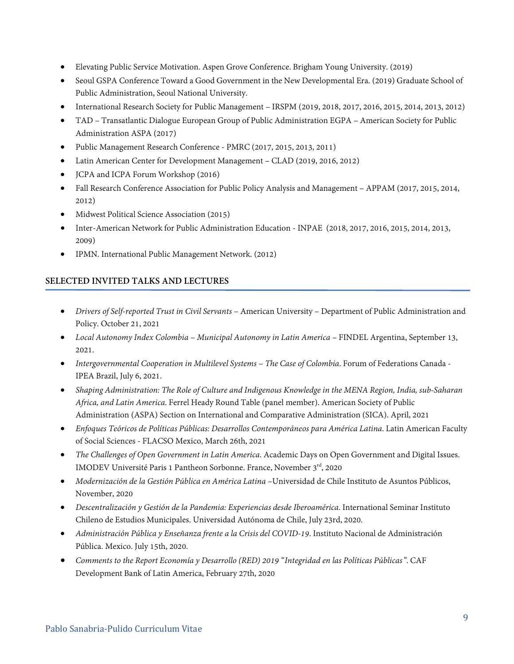- Elevating Public Service Motivation. Aspen Grove Conference. Brigham Young University. (2019)
- Seoul GSPA Conference Toward a Good Government in the New Developmental Era. (2019) Graduate School of Public Administration, Seoul National University.
- International Research Society for Public Management IRSPM (2019, 2018, 2017, 2016, 2015, 2014, 2013, 2012)
- TAD Transatlantic Dialogue European Group of Public Administration EGPA American Society for Public Administration ASPA (2017)
- Public Management Research Conference PMRC (2017, 2015, 2013, 2011)
- Latin American Center for Development Management CLAD (2019, 2016, 2012)
- JCPA and ICPA Forum Workshop (2016)
- Fall Research Conference Association for Public Policy Analysis and Management APPAM (2017, 2015, 2014, 2012)
- Midwest Political Science Association (2015)
- Inter-American Network for Public Administration Education INPAE (2018, 2017, 2016, 2015, 2014, 2013, 2009)
- IPMN. International Public Management Network. (2012)

## **SELECTED INVITED TALKS AND LECTURES**

- *Drivers of Self-reported Trust in Civil Servants* American University Department of Public Administration and Policy. October 21, 2021
- *Local Autonomy Index Colombia – Municipal Autonomy in Latin America* FINDEL Argentina, September 13, 2021.
- *Intergovernmental Cooperation in Multilevel Systems – The Case of Colombia*. Forum of Federations Canada IPEA Brazil, July 6, 2021.
- *Shaping Administration: The Role of Culture and Indigenous Knowledge in the MENA Region, India, sub-Saharan Africa, and Latin America*. Ferrel Heady Round Table (panel member). American Society of Public Administration (ASPA) Section on International and Comparative Administration (SICA). April, 2021
- *Enfoques Teóricos de Políticas Públicas: Desarrollos Contemporáneos para América Latina*. Latin American Faculty of Social Sciences - FLACSO Mexico, March 26th, 2021
- *The Challenges of Open Government in Latin America*. Academic Days on Open Government and Digital Issues. IMODEV Université Paris 1 Pantheon Sorbonne. France, November 3rd, 2020
- *Modernización de la Gestión Pública en América Latina* –Universidad de Chile Instituto de Asuntos Públicos, November, 2020
- *Descentralización y Gestión de la Pandemia: Experiencias desde Iberoamérica*. International Seminar Instituto Chileno de Estudios Municipales. Universidad Autónoma de Chile, July 23rd, 2020.
- *Administración Pública y Enseñanza frente a la Crisis del COVID-19*. Instituto Nacional de Administración Pública. Mexico. July 15th, 2020.
- *Comments to the Report Economía y Desarrollo (RED) 2019 "Integridad en las Políticas Públicas"*. CAF Development Bank of Latin America, February 27th, 2020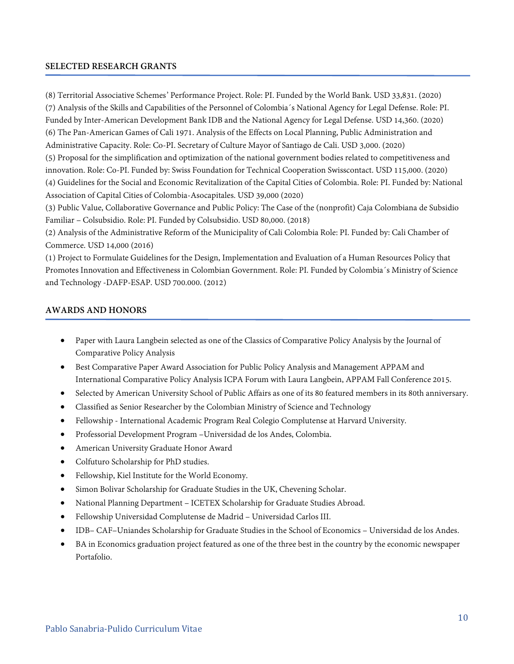### **SELECTED RESEARCH GRANTS**

(8) Territorial Associative Schemes' Performance Project. Role: PI. Funded by the World Bank. USD 33,831. (2020) (7) Analysis of the Skills and Capabilities of the Personnel of Colombia´s National Agency for Legal Defense. Role: PI. Funded by Inter-American Development Bank IDB and the National Agency for Legal Defense. USD 14,360. (2020) (6) The Pan-American Games of Cali 1971. Analysis of the Effects on Local Planning, Public Administration and Administrative Capacity. Role: Co-PI. Secretary of Culture Mayor of Santiago de Cali. USD 3,000. (2020) (5) Proposal for the simplification and optimization of the national government bodies related to competitiveness and innovation. Role: Co-PI. Funded by: Swiss Foundation for Technical Cooperation Swisscontact. USD 115,000. (2020) (4) Guidelines for the Social and Economic Revitalization of the Capital Cities of Colombia. Role: PI. Funded by: National Association of Capital Cities of Colombia-Asocapitales. USD 39,000 (2020) (3) Public Value, Collaborative Governance and Public Policy: The Case of the (nonprofit) Caja Colombiana de Subsidio Familiar – Colsubsidio. Role: PI. Funded by Colsubsidio. USD 80,000. (2018)

(2) Analysis of the Administrative Reform of the Municipality of Cali Colombia Role: PI. Funded by: Cali Chamber of Commerce. USD 14,000 (2016)

(1) Project to Formulate Guidelines for the Design, Implementation and Evaluation of a Human Resources Policy that Promotes Innovation and Effectiveness in Colombian Government. Role: PI. Funded by Colombia´s Ministry of Science and Technology -DAFP-ESAP. USD 700.000. (2012)

#### **AWARDS AND HONORS**

- Paper with Laura Langbein selected as one of the Classics of Comparative Policy Analysis by the Journal of Comparative Policy Analysis
- Best Comparative Paper Award Association for Public Policy Analysis and Management APPAM and International Comparative Policy Analysis ICPA Forum with Laura Langbein, APPAM Fall Conference 2015.
- Selected by American University School of Public Affairs as one of its 80 featured members in its 80th anniversary.
- Classified as Senior Researcher by the Colombian Ministry of Science and Technology
- Fellowship International Academic Program Real Colegio Complutense at Harvard University.
- Professorial Development Program –Universidad de los Andes, Colombia.
- American University Graduate Honor Award
- Colfuturo Scholarship for PhD studies.
- Fellowship, Kiel Institute for the World Economy.
- Simon Bolivar Scholarship for Graduate Studies in the UK, Chevening Scholar.
- National Planning Department ICETEX Scholarship for Graduate Studies Abroad.
- Fellowship Universidad Complutense de Madrid Universidad Carlos III.
- IDB– CAF–Uniandes Scholarship for Graduate Studies in the School of Economics Universidad de los Andes.
- BA in Economics graduation project featured as one of the three best in the country by the economic newspaper Portafolio.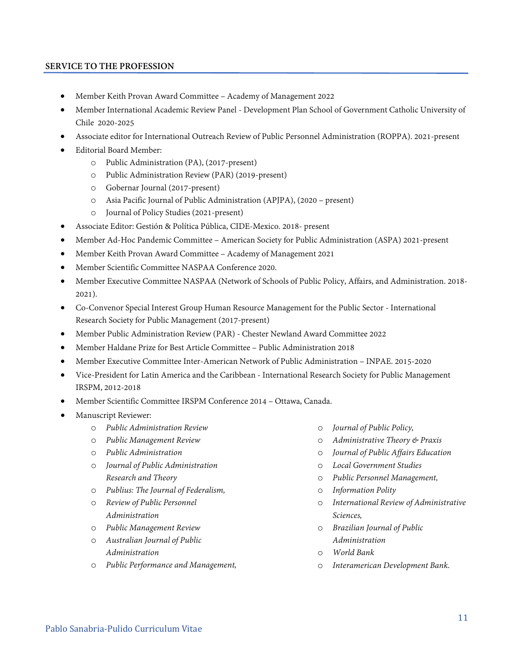## **SERVICE TO THE PROFESSION**

- Member Keith Provan Award Committee Academy of Management 2022
- Member International Academic Review Panel Development Plan School of Government Catholic University of Chile 2020-2025
- Associate editor for International Outreach Review of Public Personnel Administration (ROPPA). 2021-present
- Editorial Board Member:
	- o Public Administration (PA), (2017-present)
	- o Public Administration Review (PAR) (2019-present)
	- o Gobernar Journal (2017-present)
	- o Asia Pacific Journal of Public Administration (APJPA), (2020 present)
	- o Journal of Policy Studies (2021-present)
- Associate Editor: Gestión & Política Pública, CIDE-Mexico. 2018- present
- Member Ad-Hoc Pandemic Committee American Society for Public Administration (ASPA) 2021-present
- Member Keith Provan Award Committee Academy of Management 2021
- Member Scientific Committee NASPAA Conference 2020.
- Member Executive Committee NASPAA (Network of Schools of Public Policy, Affairs, and Administration. 2018- 2021).
- Co-Convenor Special Interest Group Human Resource Management for the Public Sector International Research Society for Public Management (2017-present)
- Member Public Administration Review (PAR) Chester Newland Award Committee 2022
- Member Haldane Prize for Best Article Committee Public Administration 2018
- Member Executive Committee Inter-American Network of Public Administration INPAE. 2015-2020
- Vice-President for Latin America and the Caribbean International Research Society for Public Management IRSPM, 2012-2018
- Member Scientific Committee IRSPM Conference 2014 Ottawa, Canada.
- Manuscript Reviewer:
	- o *Public Administration Review*
	- o *Public Management Review*
	- o *Public Administration*
	- o *Journal of Public Administration Research and Theory*
	- o *Publius: The Journal of Federalism,*
	- o *Review of Public Personnel Administration*
	- o *Public Management Review*
	- o *Australian Journal of Public Administration*
	- o *Public Performance and Management,*
- o *Journal of Public Policy,*
- o *Administrative Theory & Praxis*
- o *Journal of Public Affairs Education*
- o *Local Government Studies*
- o *Public Personnel Management,*
- o *Information Polity*
- o *International Review of Administrative Sciences,*
- o *Brazilian Journal of Public Administration*
- o *World Bank*
- o *Interamerican Development Bank*.